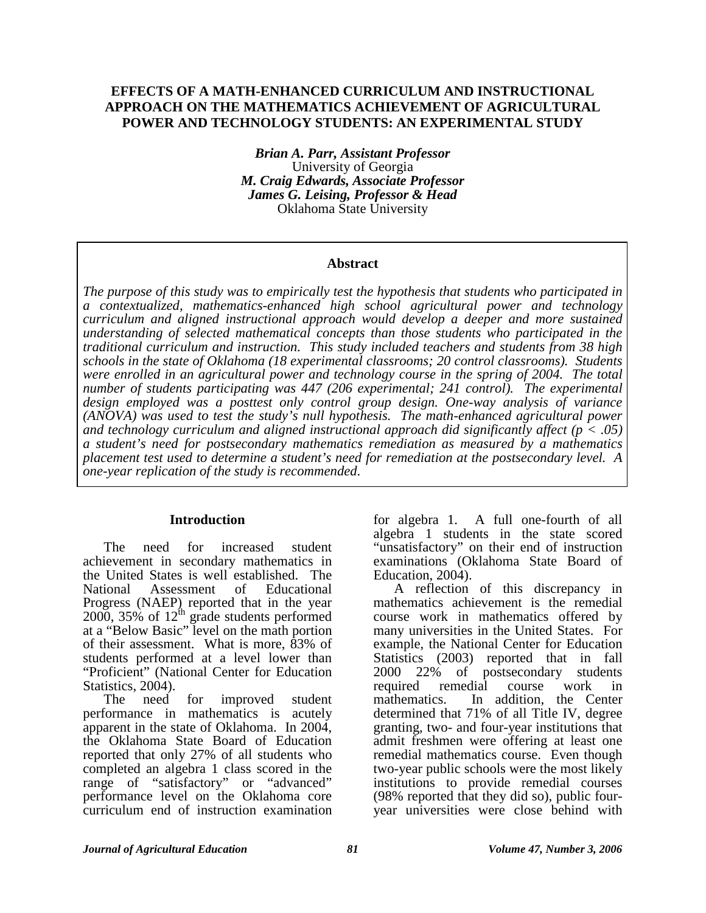### **EFFECTS OF A MATH-ENHANCED CURRICULUM AND INSTRUCTIONAL APPROACH ON THE MATHEMATICS ACHIEVEMENT OF AGRICULTURAL POWER AND TECHNOLOGY STUDENTS: AN EXPERIMENTAL STUDY**

*Brian A. Parr, Assistant Professor*  University of Georgia *M. Craig Edwards, Associate Professor James G. Leising, Professor & Head*  Oklahoma State University

#### **Abstract**

*The purpose of this study was to empirically test the hypothesis that students who participated in a contextualized, mathematics-enhanced high school agricultural power and technology curriculum and aligned instructional approach would develop a deeper and more sustained understanding of selected mathematical concepts than those students who participated in the traditional curriculum and instruction. This study included teachers and students from 38 high schools in the state of Oklahoma (18 experimental classrooms; 20 control classrooms). Students were enrolled in an agricultural power and technology course in the spring of 2004. The total number of students participating was 447 (206 experimental; 241 control). The experimental design employed was a posttest only control group design. One-way analysis of variance (ANOVA) was used to test the study's null hypothesis. The math-enhanced agricultural power and technology curriculum and aligned instructional approach did significantly affect (p < .05) a student's need for postsecondary mathematics remediation as measured by a mathematics placement test used to determine a student's need for remediation at the postsecondary level. A one-year replication of the study is recommended.* 

#### **Introduction**

The need for increased student achievement in secondary mathematics in the United States is well established. The<br>National Assessment of Educational National Assessment of Educational Progress (NAEP) reported that in the year  $2000$ ,  $35\%$  of  $12^{\text{th}}$  grade students performed at a "Below Basic" level on the math portion of their assessment. What is more, 83% of students performed at a level lower than "Proficient" (National Center for Education Statistics, 2004).

The need for improved student performance in mathematics is acutely apparent in the state of Oklahoma. In 2004, the Oklahoma State Board of Education reported that only 27% of all students who completed an algebra 1 class scored in the range of "satisfactory" or "advanced" performance level on the Oklahoma core curriculum end of instruction examination for algebra 1. A full one-fourth of all algebra 1 students in the state scored "unsatisfactory" on their end of instruction examinations (Oklahoma State Board of Education, 2004).

A reflection of this discrepancy in mathematics achievement is the remedial course work in mathematics offered by many universities in the United States. For example, the National Center for Education Statistics (2003) reported that in fall<br>2000 22% of postsecondary students of postsecondary students required remedial course work in mathematics. In addition, the Center determined that 71% of all Title IV, degree granting, two- and four-year institutions that admit freshmen were offering at least one remedial mathematics course. Even though two-year public schools were the most likely institutions to provide remedial courses (98% reported that they did so), public fouryear universities were close behind with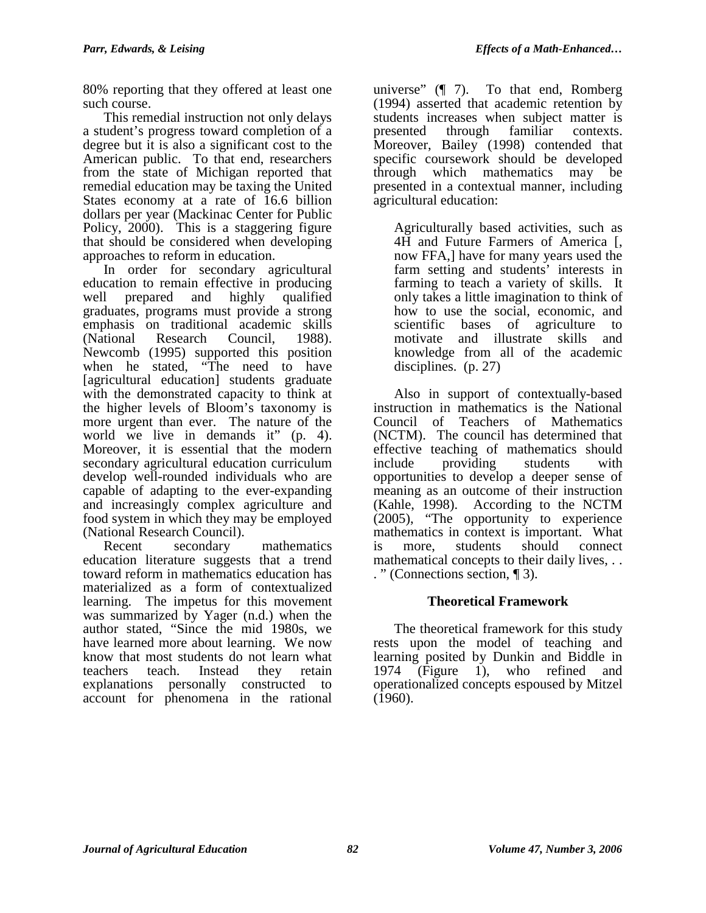80% reporting that they offered at least one such course.

This remedial instruction not only delays a student's progress toward completion of a degree but it is also a significant cost to the American public. To that end, researchers from the state of Michigan reported that remedial education may be taxing the United States economy at a rate of 16.6 billion dollars per year (Mackinac Center for Public Policy, 2000). This is a staggering figure that should be considered when developing approaches to reform in education.

In order for secondary agricultural education to remain effective in producing well prepared and highly qualified graduates, programs must provide a strong emphasis on traditional academic skills (National Research Council, 1988). Newcomb (1995) supported this position when he stated, "The need to have [agricultural education] students graduate with the demonstrated capacity to think at the higher levels of Bloom's taxonomy is more urgent than ever. The nature of the world we live in demands it" (p. 4). Moreover, it is essential that the modern secondary agricultural education curriculum develop well-rounded individuals who are capable of adapting to the ever-expanding and increasingly complex agriculture and food system in which they may be employed (National Research Council).

Recent secondary mathematics education literature suggests that a trend toward reform in mathematics education has materialized as a form of contextualized learning. The impetus for this movement was summarized by Yager (n.d.) when the author stated, "Since the mid 1980s, we have learned more about learning. We now know that most students do not learn what teachers teach. Instead they retain explanations personally constructed to account for phenomena in the rational

universe" (¶ 7). To that end, Romberg (1994) asserted that academic retention by students increases when subject matter is presented through familiar contexts. Moreover, Bailey (1998) contended that specific coursework should be developed through which mathematics may be presented in a contextual manner, including agricultural education:

Agriculturally based activities, such as 4H and Future Farmers of America [, now FFA,] have for many years used the farm setting and students' interests in farming to teach a variety of skills. It only takes a little imagination to think of how to use the social, economic, and scientific bases of agriculture to motivate and illustrate skills and knowledge from all of the academic disciplines. (p. 27)

Also in support of contextually-based instruction in mathematics is the National Council of Teachers of Mathematics (NCTM). The council has determined that effective teaching of mathematics should include providing students with opportunities to develop a deeper sense of meaning as an outcome of their instruction (Kahle, 1998). According to the NCTM (2005), "The opportunity to experience mathematics in context is important. What is more, students should connect mathematical concepts to their daily lives, . . . " (Connections section, ¶ 3).

# **Theoretical Framework**

The theoretical framework for this study rests upon the model of teaching and learning posited by Dunkin and Biddle in 1974 (Figure 1), who refined and operationalized concepts espoused by Mitzel (1960).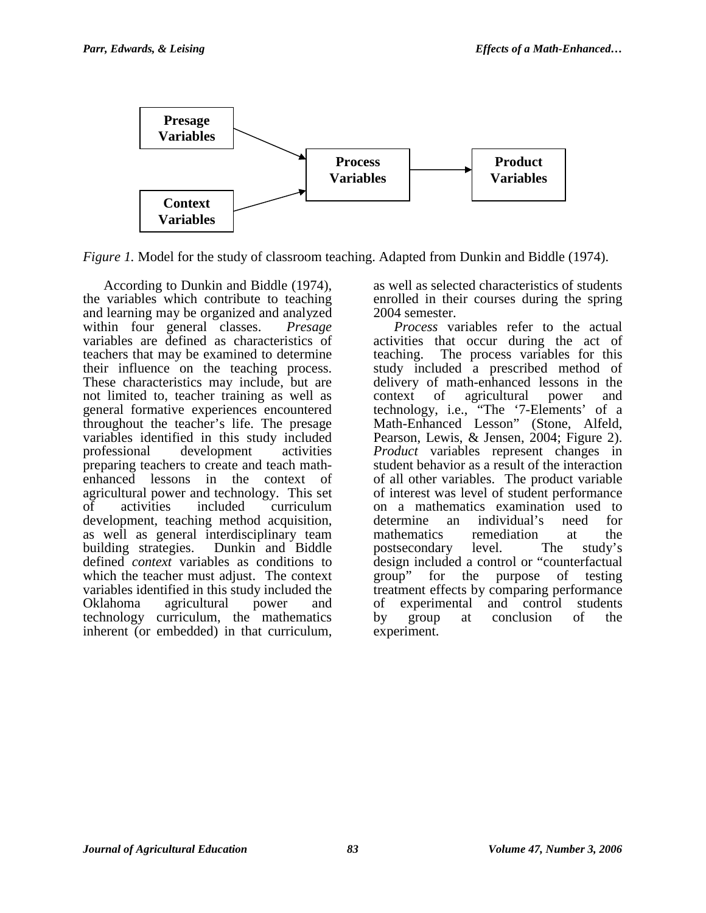

*Figure 1.* Model for the study of classroom teaching. Adapted from Dunkin and Biddle (1974).

According to Dunkin and Biddle (1974), the variables which contribute to teaching and learning may be organized and analyzed within four general classes. *Presage*  variables are defined as characteristics of teachers that may be examined to determine their influence on the teaching process. These characteristics may include, but are not limited to, teacher training as well as general formative experiences encountered throughout the teacher's life. The presage variables identified in this study included professional development activities preparing teachers to create and teach mathenhanced lessons in the context of agricultural power and technology. This set<br>of activities included curriculum curriculum development, teaching method acquisition, as well as general interdisciplinary team building strategies. Dunkin and Biddle defined *context* variables as conditions to which the teacher must adjust. The context variables identified in this study included the Oklahoma agricultural power and technology curriculum, the mathematics inherent (or embedded) in that curriculum,

as well as selected characteristics of students enrolled in their courses during the spring 2004 semester.

*Process* variables refer to the actual activities that occur during the act of teaching. The process variables for this study included a prescribed method of delivery of math-enhanced lessons in the context of agricultural power and technology, i.e., "The '7-Elements' of a Math-Enhanced Lesson" (Stone, Alfeld, Pearson, Lewis, & Jensen, 2004; Figure 2). *Product* variables represent changes in student behavior as a result of the interaction of all other variables. The product variable of interest was level of student performance on a mathematics examination used to determine an individual's need for mathematics remediation at the postsecondary level. The study's design included a control or "counterfactual group" for the purpose of testing treatment effects by comparing performance of experimental and control students by group at conclusion of the experiment.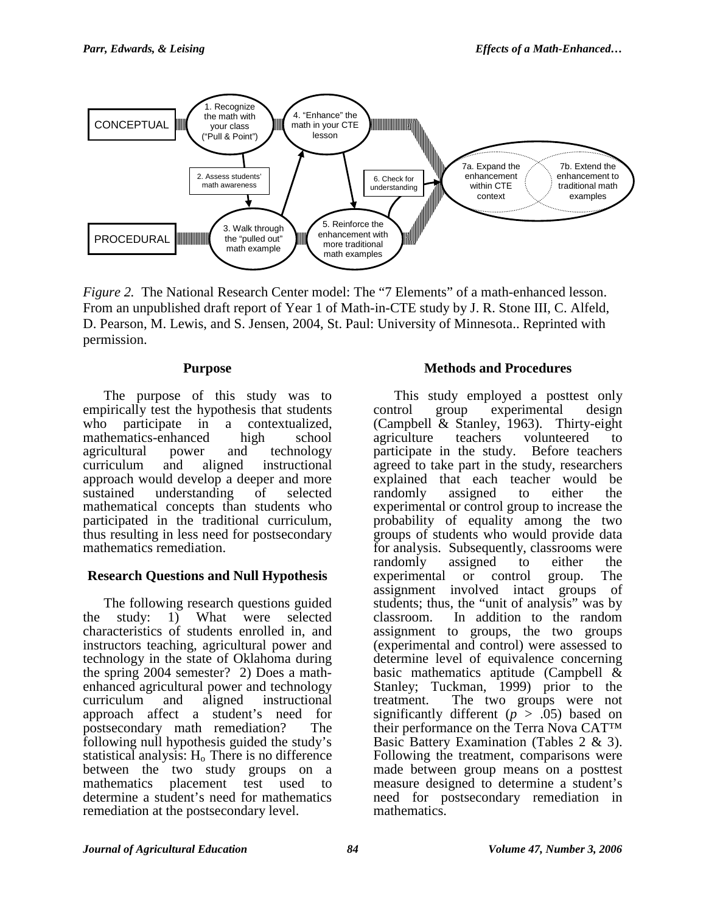

*Figure 2.* The National Research Center model: The "7 Elements" of a math-enhanced lesson. From an unpublished draft report of Year 1 of Math-in-CTE study by J. R. Stone III, C. Alfeld, D. Pearson, M. Lewis, and S. Jensen, 2004, St. Paul: University of Minnesota.. Reprinted with permission.

#### **Purpose**

The purpose of this study was to empirically test the hypothesis that students who participate in a contextualized,<br>mathematics-enhanced high school mathematics-enhanced high school<br>agricultural power and technology agricultural power and technology curriculum and aligned instructional approach would develop a deeper and more sustained understanding of selected mathematical concepts than students who participated in the traditional curriculum, thus resulting in less need for postsecondary mathematics remediation.

# **Research Questions and Null Hypothesis**

The following research questions guided the study: 1) What were selected characteristics of students enrolled in, and instructors teaching, agricultural power and technology in the state of Oklahoma during the spring 2004 semester? 2) Does a mathenhanced agricultural power and technology curriculum and aligned instructional approach affect a student's need for postsecondary math remediation? The following null hypothesis guided the study's statistical analysis:  $H_0$  There is no difference between the two study groups on a mathematics placement test used to determine a student's need for mathematics remediation at the postsecondary level.

### **Methods and Procedures**

This study employed a posttest only control group experimental design (Campbell & Stanley, 1963). Thirty-eight agriculture teachers volunteered to participate in the study. Before teachers agreed to take part in the study, researchers explained that each teacher would be<br>randomly assigned to either the randomly assigned to either the experimental or control group to increase the probability of equality among the two groups of students who would provide data for analysis. Subsequently, classrooms were randomly assigned to either the experimental or control group. The assignment involved intact groups of students; thus, the "unit of analysis" was by classroom. In addition to the random assignment to groups, the two groups (experimental and control) were assessed to determine level of equivalence concerning basic mathematics aptitude (Campbell & Stanley; Tuckman, 1999) prior to the treatment. The two groups were not significantly different ( $p > .05$ ) based on their performance on the Terra Nova CAT™ Basic Battery Examination (Tables 2 & 3). Following the treatment, comparisons were made between group means on a posttest measure designed to determine a student's need for postsecondary remediation in mathematics.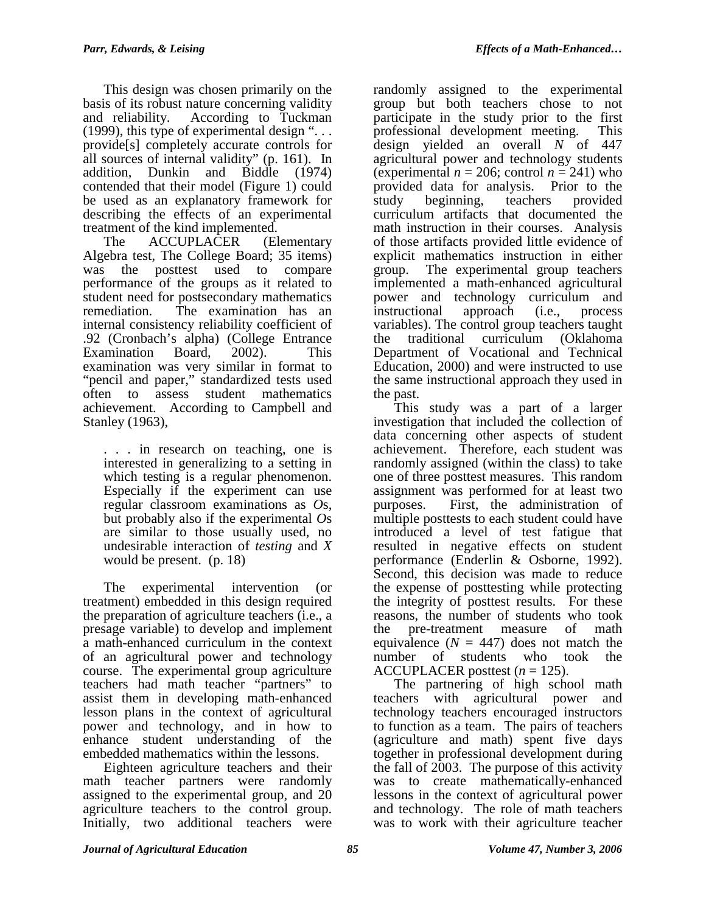This design was chosen primarily on the basis of its robust nature concerning validity and reliability. According to Tuckman (1999), this type of experimental design " $\dots$ provide[s] completely accurate controls for all sources of internal validity" (p. 161). In addition, Dunkin and Biddle (1974) contended that their model (Figure 1) could be used as an explanatory framework for describing the effects of an experimental treatment of the kind implemented.

The ACCUPLACER (Elementary Algebra test, The College Board; 35 items) was the posttest used to compare performance of the groups as it related to student need for postsecondary mathematics remediation. The examination has an internal consistency reliability coefficient of .92 (Cronbach's alpha) (College Entrance Examination Board, 2002). This examination was very similar in format to "pencil and paper," standardized tests used often to assess student mathematics achievement. According to Campbell and Stanley (1963),

. . . in research on teaching, one is interested in generalizing to a setting in which testing is a regular phenomenon. Especially if the experiment can use regular classroom examinations as *O*s, but probably also if the experimental *O*s are similar to those usually used, no undesirable interaction of *testing* and *X*  would be present. (p. 18)

The experimental intervention (or treatment) embedded in this design required the preparation of agriculture teachers (i.e., a presage variable) to develop and implement a math-enhanced curriculum in the context of an agricultural power and technology course. The experimental group agriculture teachers had math teacher "partners" to assist them in developing math-enhanced lesson plans in the context of agricultural power and technology, and in how to enhance student understanding of the embedded mathematics within the lessons.

Eighteen agriculture teachers and their math teacher partners were randomly assigned to the experimental group, and 20 agriculture teachers to the control group. Initially, two additional teachers were

randomly assigned to the experimental group but both teachers chose to not participate in the study prior to the first professional development meeting. This design yielded an overall *N* of 447 agricultural power and technology students (experimental  $n = 206$ ; control  $n = 241$ ) who provided data for analysis. Prior to the study beginning, teachers provided curriculum artifacts that documented the math instruction in their courses. Analysis of those artifacts provided little evidence of explicit mathematics instruction in either group. The experimental group teachers implemented a math-enhanced agricultural power and technology curriculum and instructional approach (i.e., process variables). The control group teachers taught the traditional curriculum (Oklahoma Department of Vocational and Technical Education, 2000) and were instructed to use the same instructional approach they used in the past.

This study was a part of a larger investigation that included the collection of data concerning other aspects of student achievement. Therefore, each student was randomly assigned (within the class) to take one of three posttest measures. This random assignment was performed for at least two purposes. First, the administration of multiple posttests to each student could have introduced a level of test fatigue that resulted in negative effects on student performance (Enderlin & Osborne, 1992). Second, this decision was made to reduce the expense of posttesting while protecting the integrity of posttest results. For these reasons, the number of students who took the pre-treatment measure of math equivalence  $(N = 447)$  does not match the number of students who took the ACCUPLACER posttest (*n* = 125).

The partnering of high school math teachers with agricultural power and technology teachers encouraged instructors to function as a team. The pairs of teachers (agriculture and math) spent five days together in professional development during the fall of 2003. The purpose of this activity was to create mathematically-enhanced lessons in the context of agricultural power and technology. The role of math teachers was to work with their agriculture teacher

*Journal of Agricultural Education 85 Volume 47, Number 3, 2006*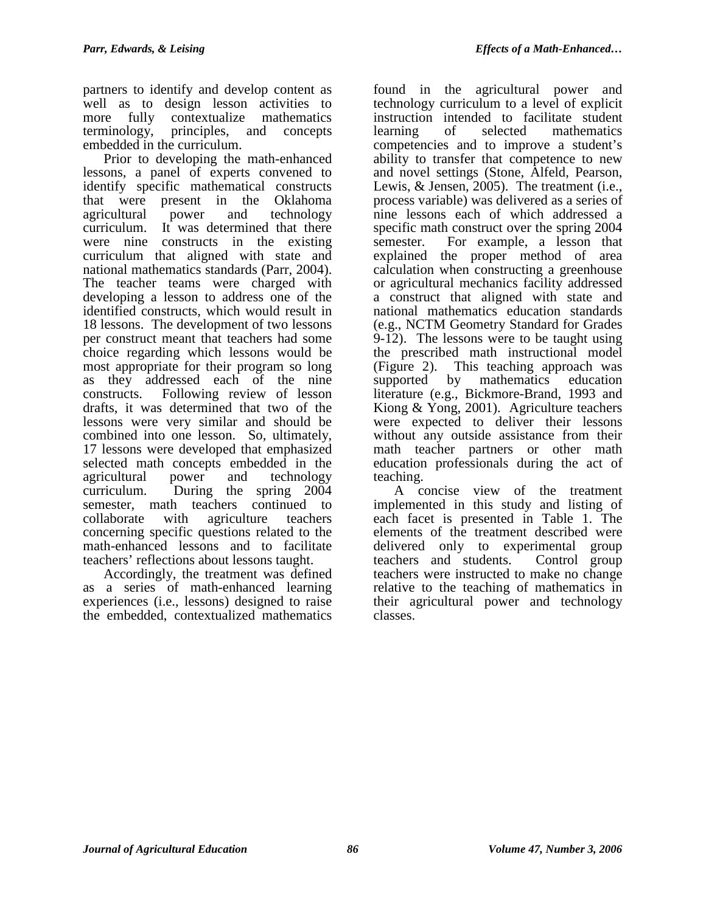partners to identify and develop content as well as to design lesson activities to more fully contextualize mathematics terminology, principles, and concepts embedded in the curriculum.

Prior to developing the math-enhanced lessons, a panel of experts convened to identify specific mathematical constructs that were present in the Oklahoma agricultural power and technology curriculum. It was determined that there were nine constructs in the existing curriculum that aligned with state and national mathematics standards (Parr, 2004). The teacher teams were charged with developing a lesson to address one of the identified constructs, which would result in 18 lessons. The development of two lessons per construct meant that teachers had some choice regarding which lessons would be most appropriate for their program so long as they addressed each of the nine constructs. Following review of lesson drafts, it was determined that two of the lessons were very similar and should be combined into one lesson. So, ultimately, 17 lessons were developed that emphasized selected math concepts embedded in the agricultural power and technology curriculum. During the spring 2004 semester, math teachers continued to collaborate with agriculture teachers concerning specific questions related to the math-enhanced lessons and to facilitate teachers' reflections about lessons taught.

Accordingly, the treatment was defined as a series of math-enhanced learning experiences (i.e., lessons) designed to raise the embedded, contextualized mathematics

found in the agricultural power and technology curriculum to a level of explicit instruction intended to facilitate student learning of selected mathematics competencies and to improve a student's ability to transfer that competence to new and novel settings (Stone, Alfeld, Pearson, Lewis, & Jensen, 2005). The treatment (i.e., process variable) was delivered as a series of nine lessons each of which addressed a specific math construct over the spring 2004 semester. For example, a lesson that explained the proper method of area calculation when constructing a greenhouse or agricultural mechanics facility addressed a construct that aligned with state and national mathematics education standards (e.g., NCTM Geometry Standard for Grades 9-12). The lessons were to be taught using the prescribed math instructional model (Figure 2). This teaching approach was supported by mathematics education literature (e.g., Bickmore-Brand, 1993 and Kiong & Yong, 2001). Agriculture teachers were expected to deliver their lessons without any outside assistance from their math teacher partners or other math education professionals during the act of teaching.

A concise view of the treatment implemented in this study and listing of each facet is presented in Table 1. The elements of the treatment described were delivered only to experimental group<br>teachers and students. Control group teachers and students. teachers were instructed to make no change relative to the teaching of mathematics in their agricultural power and technology classes.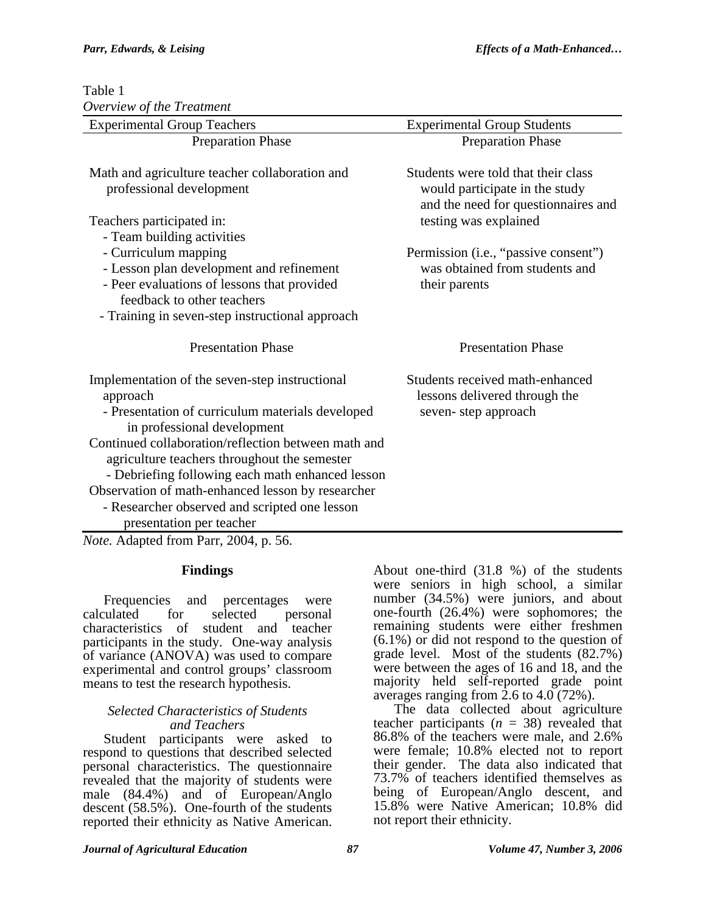Table 1

| Overview of the Treatment                                                                           |                                                                                                              |
|-----------------------------------------------------------------------------------------------------|--------------------------------------------------------------------------------------------------------------|
| <b>Experimental Group Teachers</b>                                                                  | <b>Experimental Group Students</b>                                                                           |
| <b>Preparation Phase</b>                                                                            | <b>Preparation Phase</b>                                                                                     |
| Math and agriculture teacher collaboration and<br>professional development                          | Students were told that their class<br>would participate in the study<br>and the need for questionnaires and |
| Teachers participated in:                                                                           | testing was explained                                                                                        |
| - Team building activities                                                                          |                                                                                                              |
| - Curriculum mapping                                                                                | Permission (i.e., "passive consent")                                                                         |
| - Lesson plan development and refinement                                                            | was obtained from students and                                                                               |
| - Peer evaluations of lessons that provided                                                         | their parents                                                                                                |
| feedback to other teachers                                                                          |                                                                                                              |
| - Training in seven-step instructional approach                                                     |                                                                                                              |
| <b>Presentation Phase</b>                                                                           | <b>Presentation Phase</b>                                                                                    |
| Implementation of the seven-step instructional<br>approach                                          | Students received math-enhanced<br>lessons delivered through the                                             |
| - Presentation of curriculum materials developed<br>in professional development                     | seven-step approach                                                                                          |
| Continued collaboration/reflection between math and<br>agriculture teachers throughout the semester |                                                                                                              |
| - Debriefing following each math enhanced lesson                                                    |                                                                                                              |
| Observation of math-enhanced lesson by researcher                                                   |                                                                                                              |
| - Researcher observed and scripted one lesson                                                       |                                                                                                              |
| presentation per teacher                                                                            |                                                                                                              |

*Note.* Adapted from Parr, 2004, p. 56.

# **Findings**

Frequencies and percentages were calculated for selected personal characteristics of student and teacher participants in the study. One-way analysis of variance (ANOVA) was used to compare experimental and control groups' classroom means to test the research hypothesis.

#### *Selected Characteristics of Students and Teachers*

Student participants were asked to respond to questions that described selected personal characteristics. The questionnaire revealed that the majority of students were male (84.4%) and of European/Anglo descent (58.5%). One-fourth of the students reported their ethnicity as Native American.

About one-third (31.8 %) of the students were seniors in high school, a similar number (34.5%) were juniors, and about one-fourth (26.4%) were sophomores; the remaining students were either freshmen (6.1%) or did not respond to the question of grade level. Most of the students (82.7%) were between the ages of 16 and 18, and the majority held self-reported grade point averages ranging from 2.6 to 4.0 (72%).

The data collected about agriculture teacher participants  $(n = 38)$  revealed that 86.8% of the teachers were male, and 2.6% were female; 10.8% elected not to report their gender. The data also indicated that 73.7% of teachers identified themselves as being of European/Anglo descent, and 15.8% were Native American; 10.8% did not report their ethnicity.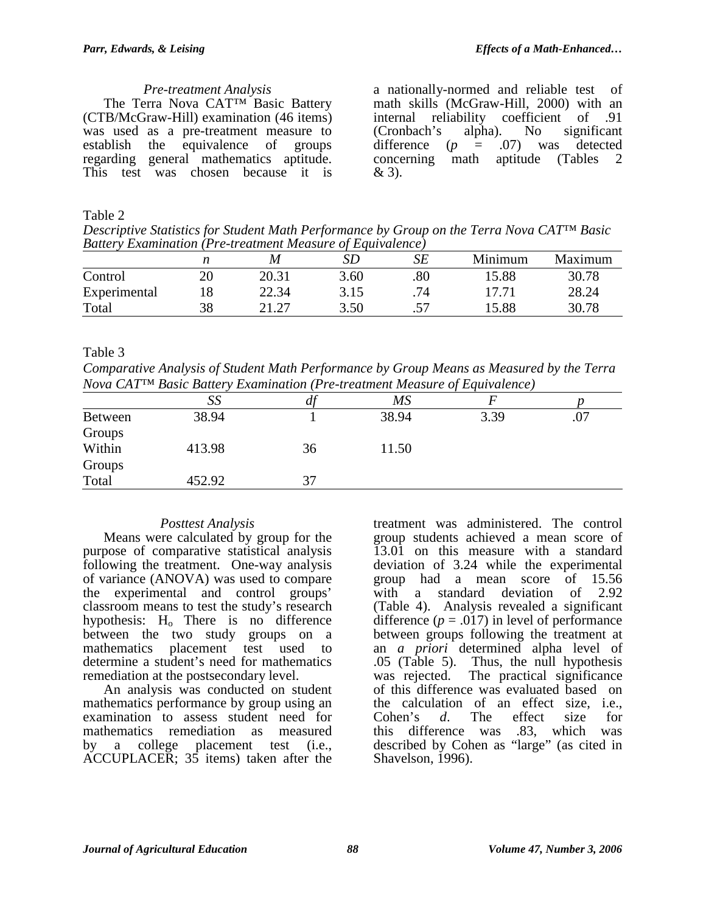#### *Pre-treatment Analysis*

The Terra Nova CAT™ Basic Battery (CTB/McGraw-Hill) examination (46 items) was used as a pre-treatment measure to establish the equivalence of groups regarding general mathematics aptitude. This test was chosen because it is

a nationally-normed and reliable test of math skills (McGraw-Hill, 2000) with an internal reliability coefficient of .91 (Cronbach's alpha). No significant difference (*p* = .07) was detected concerning math aptitude (Tables 2 & 3).

### Table 2

*Descriptive Statistics for Student Math Performance by Group on the Terra Nova CAT™ Basic Battery Examination (Pre-treatment Measure of Equivalence)*

|              |    | M     | SD   | SE      | Minimum | Maximum |
|--------------|----|-------|------|---------|---------|---------|
| Control      | 20 | 20.31 | 3.60 | .80     | 15.88   | 30.78   |
| Experimental |    | 22.34 | 3.15 | 71      | 17.71   | 28.24   |
| Total        | 38 | 21.27 | 3.50 | $\cdot$ | 15.88   | 30.78   |

# Table 3

*Comparative Analysis of Student Math Performance by Group Means as Measured by the Terra Nova CAT™ Basic Battery Examination (Pre-treatment Measure of Equivalence)* 

|                | SS     | $\mu$ | MS    |      |     |
|----------------|--------|-------|-------|------|-----|
| <b>Between</b> | 38.94  |       | 38.94 | 3.39 | .07 |
| Groups         |        |       |       |      |     |
| Within         | 413.98 | 36    | 11.50 |      |     |
| Groups         |        |       |       |      |     |
| Total          | 452.92 |       |       |      |     |

# *Posttest Analysis*

Means were calculated by group for the purpose of comparative statistical analysis following the treatment. One-way analysis of variance (ANOVA) was used to compare the experimental and control groups' classroom means to test the study's research hypothesis: H<sub>o</sub> There is no difference between the two study groups on a mathematics placement test used to determine a student's need for mathematics remediation at the postsecondary level.

An analysis was conducted on student mathematics performance by group using an examination to assess student need for mathematics remediation as measured by a college placement test (i.e., ACCUPLACER; 35 items) taken after the

treatment was administered. The control group students achieved a mean score of 13.01 on this measure with a standard deviation of 3.24 while the experimental group had a mean score of 15.56 with a standard deviation of 2.92 (Table 4). Analysis revealed a significant difference  $(p = .017)$  in level of performance between groups following the treatment at an *a priori* determined alpha level of .05 (Table 5). Thus, the null hypothesis was rejected. The practical significance of this difference was evaluated based on the calculation of an effect size, i.e., Cohen's *d*. The effect size for this difference was .83, which was described by Cohen as "large" (as cited in Shavelson, 1996).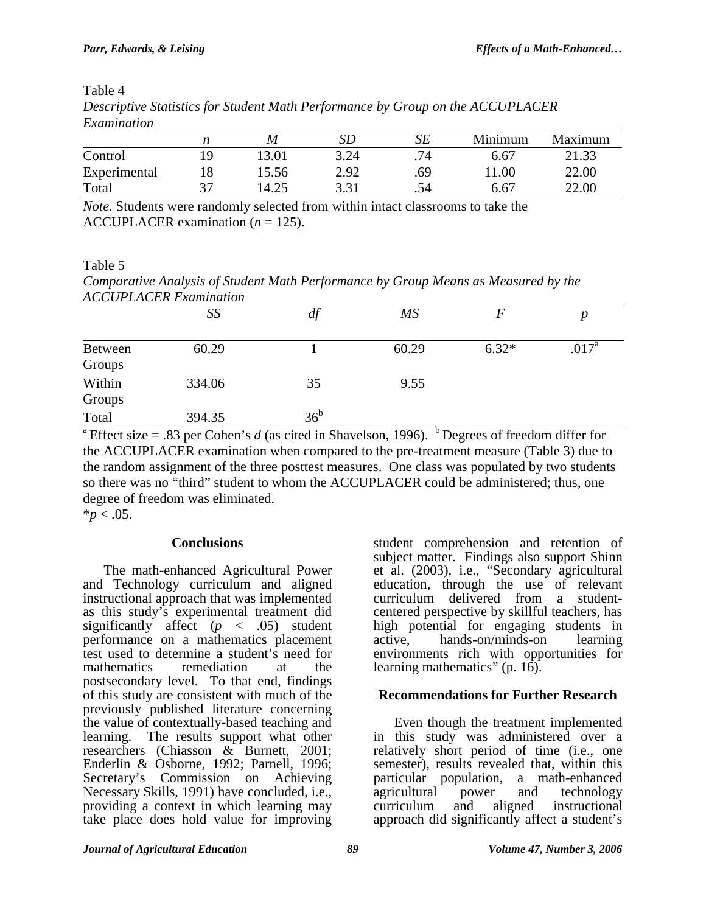| exteriorment |    |       |      |     |         |         |
|--------------|----|-------|------|-----|---------|---------|
|              | n  | M     | SD   | SE  | Minimum | Maximum |
| Control      | ١q | 3.01  | 3.24 | .74 | 6.67    | 21.33   |
| Experimental |    | 15.56 | 2.92 | .69 | 11.00   | 22.00   |
| Total        | 27 | 14.25 | 3.31 | .54 | 6.67    | 22.00   |

Table 4 *Descriptive Statistics for Student Math Performance by Group on the ACCUPLACER Examination* 

*Note.* Students were randomly selected from within intact classrooms to take the ACCUPLACER examination  $(n = 125)$ .

Table 5

*Comparative Analysis of Student Math Performance by Group Means as Measured by the ACCUPLACER Examination* 

|                                | SS     | df           | $\overline{MS}$ |         |                   |
|--------------------------------|--------|--------------|-----------------|---------|-------------------|
| Between<br>Groups              | 60.29  |              | 60.29           | $6.32*$ | .017 <sup>a</sup> |
| Within<br>Groups               | 334.06 | 35           | 9.55            |         |                   |
| Total<br>$\Omega$ and $\Omega$ | 394.35 | $36^{\rm b}$ | n<br>.          |         |                   |

<sup>a</sup> Effect size = .83 per Cohen's *d* (as cited in Shavelson, 1996). <sup>b</sup> Degrees of freedom differ for the ACCUPLACER examination when compared to the pre-treatment measure (Table 3) due to the random assignment of the three posttest measures. One class was populated by two students so there was no "third" student to whom the ACCUPLACER could be administered; thus, one degree of freedom was eliminated.

 $**p* < .05$ .

# **Conclusions**

The math-enhanced Agricultural Power and Technology curriculum and aligned instructional approach that was implemented as this study's experimental treatment did significantly affect  $(p \lt 0.05)$  student performance on a mathematics placement test used to determine a student's need for mathematics remediation at the postsecondary level. To that end, findings of this study are consistent with much of the previously published literature concerning the value of contextually-based teaching and learning. The results support what other researchers (Chiasson & Burnett, 2001; Enderlin & Osborne, 1992; Parnell, 1996; Secretary's Commission on Achieving Necessary Skills, 1991) have concluded, i.e., providing a context in which learning may take place does hold value for improving

student comprehension and retention of subject matter. Findings also support Shinn et al. (2003), i.e., "Secondary agricultural education, through the use of relevant curriculum delivered from a studentcentered perspective by skillful teachers, has high potential for engaging students in active.<br>active. hands-on/minds-on learning hands-on/minds-on environments rich with opportunities for learning mathematics" (p. 16).

# **Recommendations for Further Research**

Even though the treatment implemented in this study was administered over a relatively short period of time (i.e., one semester), results revealed that, within this particular population, a math-enhanced<br>agricultural power and technology agricultural power and<br>curriculum and aligned instructional approach did significantly affect a student's

*Journal of Agricultural Education 89 Volume 47, Number 3, 2006*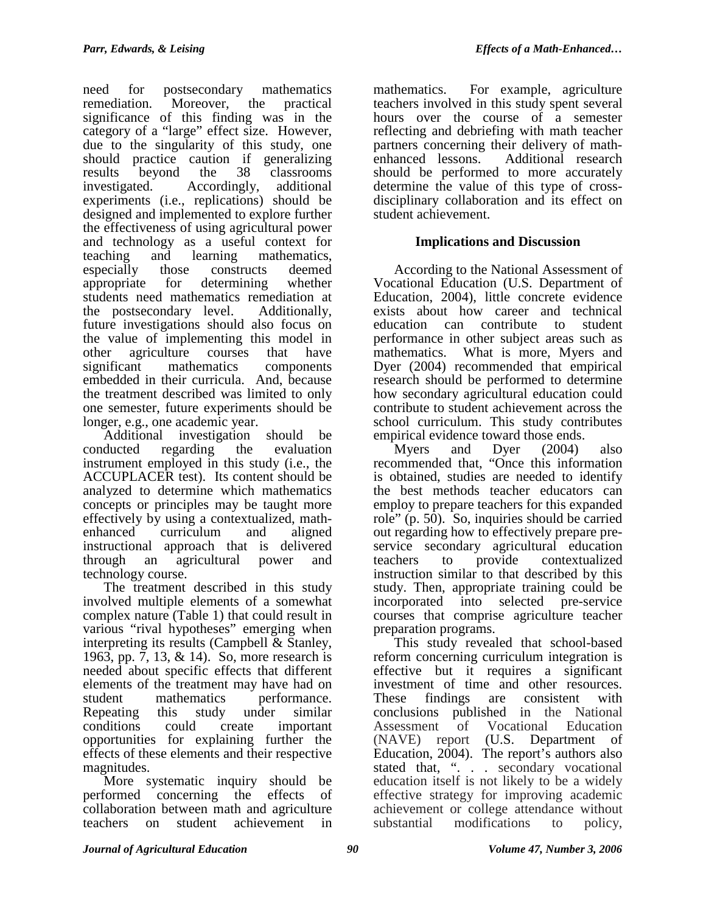need for postsecondary mathematics remediation. Moreover, the practical significance of this finding was in the category of a "large" effect size. However, due to the singularity of this study, one should practice caution if generalizing results beyond the 38 classrooms investigated. Accordingly, additional experiments (i.e., replications) should be designed and implemented to explore further the effectiveness of using agricultural power and technology as a useful context for teaching and learning mathematics, especially those constructs deemed appropriate for determining whether students need mathematics remediation at the postsecondary level. Additionally, future investigations should also focus on the value of implementing this model in other agriculture courses that have significant mathematics components embedded in their curricula. And, because the treatment described was limited to only one semester, future experiments should be longer, e.g., one academic year.

Additional investigation should be conducted regarding the evaluation instrument employed in this study (i.e., the ACCUPLACER test). Its content should be analyzed to determine which mathematics concepts or principles may be taught more effectively by using a contextualized, mathenhanced curriculum and aligned instructional approach that is delivered through an agricultural power and technology course.

The treatment described in this study involved multiple elements of a somewhat complex nature (Table 1) that could result in various "rival hypotheses" emerging when interpreting its results (Campbell & Stanley, 1963, pp. 7, 13, & 14). So, more research is needed about specific effects that different elements of the treatment may have had on student mathematics performance. Repeating this study under similar conditions could create important opportunities for explaining further the effects of these elements and their respective magnitudes.

More systematic inquiry should be performed concerning the effects of collaboration between math and agriculture teachers on student achievement in

mathematics. For example, agriculture teachers involved in this study spent several hours over the course of a semester reflecting and debriefing with math teacher partners concerning their delivery of mathenhanced lessons. Additional research should be performed to more accurately determine the value of this type of crossdisciplinary collaboration and its effect on student achievement.

# **Implications and Discussion**

According to the National Assessment of Vocational Education (U.S. Department of Education, 2004), little concrete evidence exists about how career and technical education can contribute to student performance in other subject areas such as mathematics. What is more, Myers and Dyer (2004) recommended that empirical research should be performed to determine how secondary agricultural education could contribute to student achievement across the school curriculum. This study contributes empirical evidence toward those ends.

Myers and Dyer (2004) also recommended that, "Once this information is obtained, studies are needed to identify the best methods teacher educators can employ to prepare teachers for this expanded role" (p. 50). So, inquiries should be carried out regarding how to effectively prepare preservice secondary agricultural education teachers to provide contextualized instruction similar to that described by this study. Then, appropriate training could be incorporated into selected pre-service courses that comprise agriculture teacher preparation programs.

This study revealed that school-based reform concerning curriculum integration is effective but it requires a significant investment of time and other resources. These findings are consistent with conclusions published in the National Assessment of Vocational Education (NAVE) report (U.S. Department of Education,  $2004$ ). The report's authors also stated that, ". . . secondary vocational education itself is not likely to be a widely effective strategy for improving academic achievement or college attendance without substantial modifications to policy,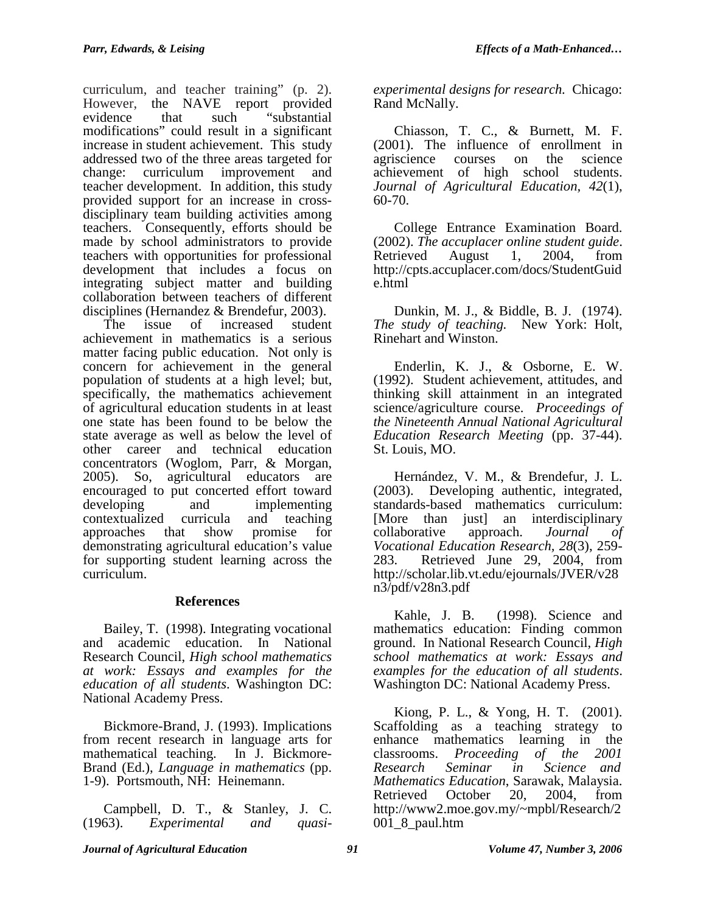curriculum, and teacher training" (p. 2). However, the NAVE report provided evidence that such "substantial modifications" could result in a significant increase in student achievement. This study addressed two of the three areas targeted for change: curriculum improvement and teacher development. In addition, this study provided support for an increase in crossdisciplinary team building activities among teachers. Consequently, efforts should be made by school administrators to provide teachers with opportunities for professional development that includes a focus on integrating subject matter and building collaboration between teachers of different disciplines (Hernandez & Brendefur, 2003).

The issue of increased student achievement in mathematics is a serious matter facing public education. Not only is concern for achievement in the general population of students at a high level; but, specifically, the mathematics achievement of agricultural education students in at least one state has been found to be below the state average as well as below the level of other career and technical education concentrators (Woglom, Parr, & Morgan, 2005). So, agricultural educators are encouraged to put concerted effort toward developing and implementing contextualized curricula and teaching approaches that show promise for demonstrating agricultural education's value for supporting student learning across the curriculum.

#### **References**

Bailey, T. (1998). Integrating vocational and academic education. In National Research Council, *High school mathematics at work: Essays and examples for the education of all students*. Washington DC: National Academy Press.

Bickmore-Brand, J. (1993). Implications from recent research in language arts for mathematical teaching. In J. Bickmore-Brand (Ed.), *Language in mathematics* (pp. 1-9). Portsmouth, NH: Heinemann.

Campbell, D. T., & Stanley, J. C. (1963). *Experimental and quasi-* *experimental designs for research.* Chicago: Rand McNally.

Chiasson, T. C., & Burnett, M. F. (2001). The influence of enrollment in agriscience courses on the science achievement of high school students. *Journal of Agricultural Education, 42*(1), 60-70.

College Entrance Examination Board. (2002). *The accuplacer online student guide*. Retrieved August 1, 2004, from http://cpts.accuplacer.com/docs/StudentGuid e.html

Dunkin, M. J., & Biddle, B. J. (1974). *The study of teaching.* New York: Holt, Rinehart and Winston.

Enderlin, K. J., & Osborne, E. W. (1992). Student achievement, attitudes, and thinking skill attainment in an integrated science/agriculture course. *Proceedings of the Nineteenth Annual National Agricultural Education Research Meeting* (pp. 37-44). St. Louis, MO.

Hernández, V. M., & Brendefur, J. L. (2003). Developing authentic, integrated, standards-based mathematics curriculum: [More than just] an interdisciplinary collaborative approach. *Journal of Vocational Education Research, 28*(3), 259- 283. Retrieved June 29, 2004, from http://scholar.lib.vt.edu/ejournals/JVER/v28 n3/pdf/v28n3.pdf

Kahle, J. B. (1998). Science and mathematics education: Finding common ground. In National Research Council, *High school mathematics at work: Essays and examples for the education of all students*. Washington DC: National Academy Press.

Kiong, P. L., & Yong, H. T. (2001). Scaffolding as a teaching strategy to enhance mathematics learning in the classrooms. *Proceeding of the 2001 Research Seminar in Science and Mathematics Education*, Sarawak, Malaysia. Retrieved October 20, 2004, from http://www2.moe.gov.my/~mpbl/Research/2  $001_8$ -paul.htm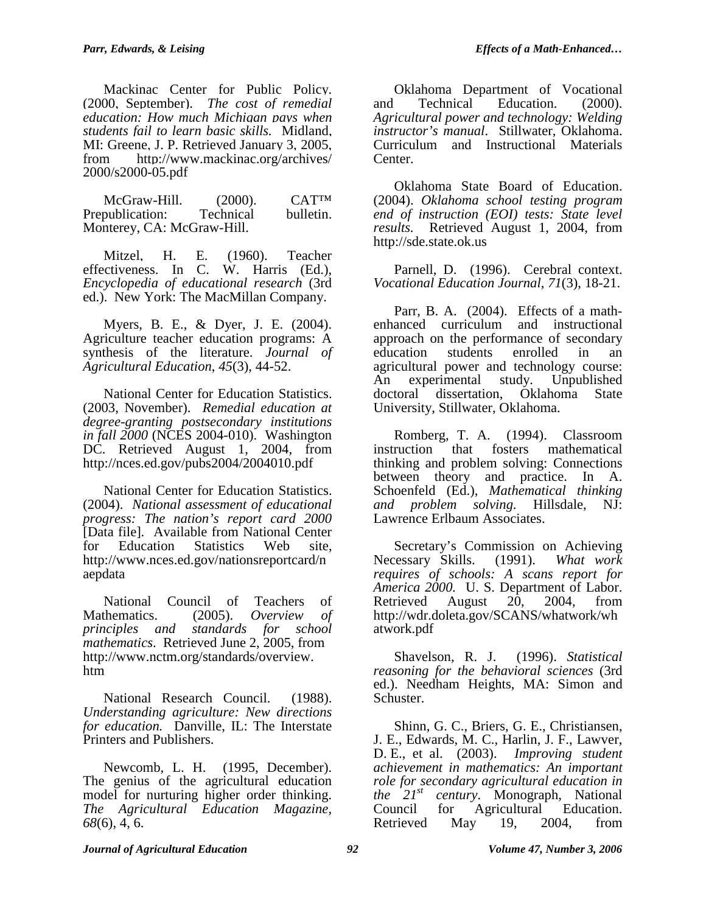Mackinac Center for Public Policy. (2000, September). *The cost of remedial education: How much Michigan pays when students fail to learn basic skills.* Midland, MI: Greene, J. P. Retrieved January 3, 2005, from http://www.mackinac.org/archives/ 2000/s2000-05.pdf

McGraw-Hill. (2000). CAT<sup>TM</sup> Prepublication: Technical bulletin. Monterey, CA: McGraw-Hill.

Mitzel, H. E. (1960). Teacher effectiveness. In C. W. Harris (Ed.), *Encyclopedia of educational research* (3rd ed.). New York: The MacMillan Company.

Myers, B. E., & Dyer, J. E. (2004). Agriculture teacher education programs: A synthesis of the literature. *Journal of Agricultural Education*, *45*(3), 44-52.

National Center for Education Statistics. (2003, November). *Remedial education at degree-granting postsecondary institutions in fall 2000* (NCES 2004-010). Washington DC. Retrieved August 1, 2004, from http://nces.ed.gov/pubs2004/2004010.pdf

National Center for Education Statistics. (2004). *National assessment of educational progress: The nation's report card 2000*  [Data file]*.* Available from National Center for Education Statistics Web site, http://www.nces.ed.gov/nationsreportcard/n aepdata

National Council of Teachers of Mathematics. (2005). *Overview of principles and standards for school mathematics*. Retrieved June 2, 2005, from http://www.nctm.org/standards/overview. htm

National Research Council. (1988). *Understanding agriculture: New directions for education.* Danville, IL: The Interstate Printers and Publishers.

Newcomb, L. H. (1995, December). The genius of the agricultural education model for nurturing higher order thinking. *The Agricultural Education Magazine, 68*(6), 4, 6.

Oklahoma Department of Vocational and Technical Education. (2000). *Agricultural power and technology: Welding instructor's manual*. Stillwater, Oklahoma. Curriculum and Instructional Materials Center.

Oklahoma State Board of Education. (2004). *Oklahoma school testing program end of instruction (EOI) tests: State level results.* Retrieved August 1, 2004, from http://sde.state.ok.us

Parnell, D. (1996). Cerebral context. *Vocational Education Journal, 71*(3), 18-21.

Parr, B. A. (2004). Effects of a mathenhanced curriculum and instructional approach on the performance of secondary education students enrolled in an agricultural power and technology course: An experimental study. Unpublished doctoral dissertation, Oklahoma State University, Stillwater, Oklahoma.

Romberg, T. A. (1994). Classroom instruction that fosters mathematical thinking and problem solving: Connections between theory and practice. In A. Schoenfeld (Ed.), *Mathematical thinking and problem solving.* Hillsdale, NJ: Lawrence Erlbaum Associates.

Secretary's Commission on Achieving Necessary Skills. (1991). *What work requires of schools: A scans report for America 2000.* U. S. Department of Labor. Retrieved August  $20, 2004,$  from http://wdr.doleta.gov/SCANS/whatwork/wh atwork.pdf

Shavelson, R. J. (1996). *Statistical reasoning for the behavioral sciences* (3rd ed.). Needham Heights, MA: Simon and Schuster.

Shinn, G. C., Briers, G. E., Christiansen, J. E., Edwards, M. C., Harlin, J. F., Lawver, D. E., et al. (2003). *Improving student achievement in mathematics: An important role for secondary agricultural education in the 21st century*. Monograph, National Council for Agricultural Education. Retrieved May 19, 2004, from

#### *Journal of Agricultural Education 92 Volume 47, Number 3, 2006*